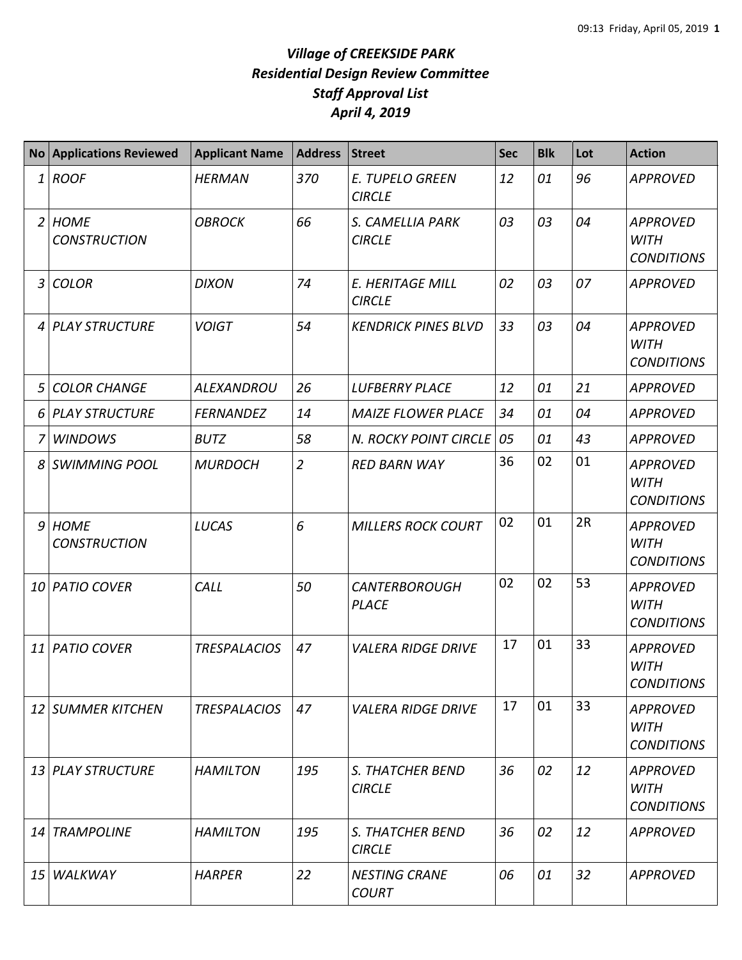| <b>No</b>    | <b>Applications Reviewed</b>       | <b>Applicant Name</b> | <b>Address</b> | Street                                   | <b>Sec</b> | <b>Blk</b> | Lot | <b>Action</b>                                       |
|--------------|------------------------------------|-----------------------|----------------|------------------------------------------|------------|------------|-----|-----------------------------------------------------|
| $\mathbf{1}$ | <b>ROOF</b>                        | <b>HERMAN</b>         | 370            | <b>E. TUPELO GREEN</b><br><b>CIRCLE</b>  | 12         | 01         | 96  | <b>APPROVED</b>                                     |
|              | 2 HOME<br><b>CONSTRUCTION</b>      | <b>OBROCK</b>         | 66             | S. CAMELLIA PARK<br><b>CIRCLE</b>        | 03         | 03         | 04  | <b>APPROVED</b><br><b>WITH</b><br><b>CONDITIONS</b> |
| 3            | <b>COLOR</b>                       | <b>DIXON</b>          | 74             | E. HERITAGE MILL<br><b>CIRCLE</b>        | 02         | 03         | 07  | <b>APPROVED</b>                                     |
| 4            | <b>PLAY STRUCTURE</b>              | <b>VOIGT</b>          | 54             | <b>KENDRICK PINES BLVD</b>               | 33         | 03         | 04  | <b>APPROVED</b><br><b>WITH</b><br><b>CONDITIONS</b> |
| 5            | <b>COLOR CHANGE</b>                | <b>ALEXANDROU</b>     | 26             | <b>LUFBERRY PLACE</b>                    | 12         | 01         | 21  | <b>APPROVED</b>                                     |
| 6            | <b>PLAY STRUCTURE</b>              | <b>FERNANDEZ</b>      | 14             | <b>MAIZE FLOWER PLACE</b>                | 34         | 01         | 04  | <b>APPROVED</b>                                     |
|              | <b>WINDOWS</b>                     | <b>BUTZ</b>           | 58             | N. ROCKY POINT CIRCLE                    | 05         | 01         | 43  | <b>APPROVED</b>                                     |
| 8            | <b>SWIMMING POOL</b>               | <b>MURDOCH</b>        | $\overline{2}$ | <b>RED BARN WAY</b>                      | 36         | 02         | 01  | <b>APPROVED</b><br><b>WITH</b><br><b>CONDITIONS</b> |
| 9            | <b>HOME</b><br><b>CONSTRUCTION</b> | <b>LUCAS</b>          | 6              | <b>MILLERS ROCK COURT</b>                | 02         | 01         | 2R  | <b>APPROVED</b><br><b>WITH</b><br><b>CONDITIONS</b> |
|              | 10 PATIO COVER                     | CALL                  | 50             | <b>CANTERBOROUGH</b><br><b>PLACE</b>     | 02         | 02         | 53  | <b>APPROVED</b><br><b>WITH</b><br><b>CONDITIONS</b> |
| 11           | <b>PATIO COVER</b>                 | <b>TRESPALACIOS</b>   | 47             | <b>VALERA RIDGE DRIVE</b>                | 17         | 01         | 33  | <b>APPROVED</b><br><b>WITH</b><br><b>CONDITIONS</b> |
|              | 12 SUMMER KITCHEN                  | <b>TRESPALACIOS</b>   | 47             | <b>VALERA RIDGE DRIVE</b>                | 17         | 01         | 33  | <b>APPROVED</b><br><b>WITH</b><br><b>CONDITIONS</b> |
|              | 13 PLAY STRUCTURE                  | <b>HAMILTON</b>       | 195            | S. THATCHER BEND<br><b>CIRCLE</b>        | 36         | 02         | 12  | <b>APPROVED</b><br><b>WITH</b><br><b>CONDITIONS</b> |
| 14           | <b>TRAMPOLINE</b>                  | <b>HAMILTON</b>       | 195            | <b>S. THATCHER BEND</b><br><b>CIRCLE</b> | 36         | 02         | 12  | <b>APPROVED</b>                                     |
| 15           | <b>WALKWAY</b>                     | <b>HARPER</b>         | 22             | <b>NESTING CRANE</b><br><b>COURT</b>     | 06         | 01         | 32  | <b>APPROVED</b>                                     |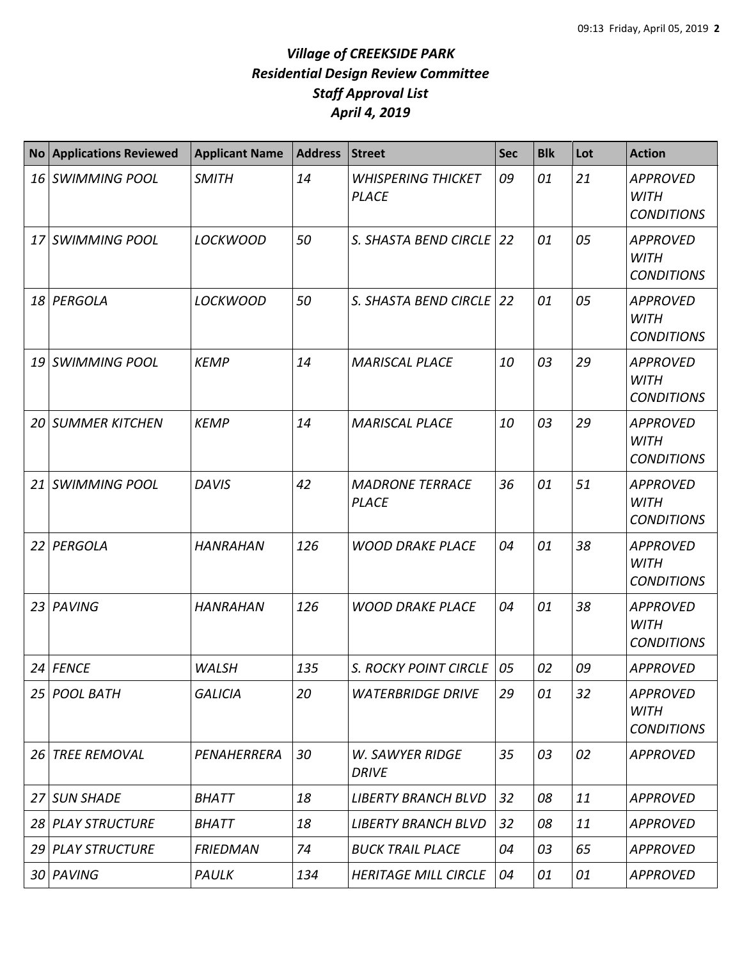| <b>No</b> | <b>Applications Reviewed</b> | <b>Applicant Name</b> | <b>Address</b> | <b>Street</b>                             | <b>Sec</b> | <b>Blk</b> | Lot | <b>Action</b>                                       |
|-----------|------------------------------|-----------------------|----------------|-------------------------------------------|------------|------------|-----|-----------------------------------------------------|
|           | 16 SWIMMING POOL             | <b>SMITH</b>          | 14             | <b>WHISPERING THICKET</b><br><b>PLACE</b> | 09         | 01         | 21  | <b>APPROVED</b><br><b>WITH</b><br><b>CONDITIONS</b> |
|           | 17 SWIMMING POOL             | <b>LOCKWOOD</b>       | 50             | S. SHASTA BEND CIRCLE                     | 22         | 01         | 05  | <b>APPROVED</b><br><b>WITH</b><br><b>CONDITIONS</b> |
|           | 18 PERGOLA                   | <b>LOCKWOOD</b>       | 50             | S. SHASTA BEND CIRCLE                     | 22         | 01         | 05  | <b>APPROVED</b><br><b>WITH</b><br><b>CONDITIONS</b> |
|           | 19 SWIMMING POOL             | <b>KEMP</b>           | 14             | <b>MARISCAL PLACE</b>                     | 10         | 03         | 29  | <b>APPROVED</b><br><b>WITH</b><br><b>CONDITIONS</b> |
|           | <b>20 SUMMER KITCHEN</b>     | <b>KEMP</b>           | 14             | <b>MARISCAL PLACE</b>                     | 10         | 03         | 29  | <b>APPROVED</b><br><b>WITH</b><br><b>CONDITIONS</b> |
|           | 21 SWIMMING POOL             | <b>DAVIS</b>          | 42             | <b>MADRONE TERRACE</b><br><b>PLACE</b>    | 36         | 01         | 51  | <b>APPROVED</b><br><b>WITH</b><br><b>CONDITIONS</b> |
|           | 22 PERGOLA                   | <b>HANRAHAN</b>       | 126            | <b>WOOD DRAKE PLACE</b>                   | 04         | 01         | 38  | <b>APPROVED</b><br><b>WITH</b><br><b>CONDITIONS</b> |
|           | 23 PAVING                    | <b>HANRAHAN</b>       | 126            | <b>WOOD DRAKE PLACE</b>                   | 04         | 01         | 38  | <b>APPROVED</b><br><b>WITH</b><br><b>CONDITIONS</b> |
|           | 24 FENCE                     | <b>WALSH</b>          | 135            | S. ROCKY POINT CIRCLE                     | 05         | 02         | 09  | <b>APPROVED</b>                                     |
|           | 25 POOL BATH                 | <b>GALICIA</b>        | 20             | <b>WATERBRIDGE DRIVE</b>                  | 29         | 01         | 32  | <b>APPROVED</b><br><b>WITH</b><br><b>CONDITIONS</b> |
|           | 26 TREE REMOVAL              | PENAHERRERA           | 30             | <b>W. SAWYER RIDGE</b><br><b>DRIVE</b>    | 35         | 03         | 02  | <b>APPROVED</b>                                     |
|           | 27 SUN SHADE                 | <b>BHATT</b>          | 18             | <b>LIBERTY BRANCH BLVD</b>                | 32         | 08         | 11  | <b>APPROVED</b>                                     |
|           | 28 PLAY STRUCTURE            | <b>BHATT</b>          | 18             | <b>LIBERTY BRANCH BLVD</b>                | 32         | 08         | 11  | <b>APPROVED</b>                                     |
|           | 29 PLAY STRUCTURE            | <b>FRIEDMAN</b>       | 74             | <b>BUCK TRAIL PLACE</b>                   | 04         | 03         | 65  | <b>APPROVED</b>                                     |
|           | 30 PAVING                    | PAULK                 | 134            | <b>HERITAGE MILL CIRCLE</b>               | 04         | 01         | 01  | <b>APPROVED</b>                                     |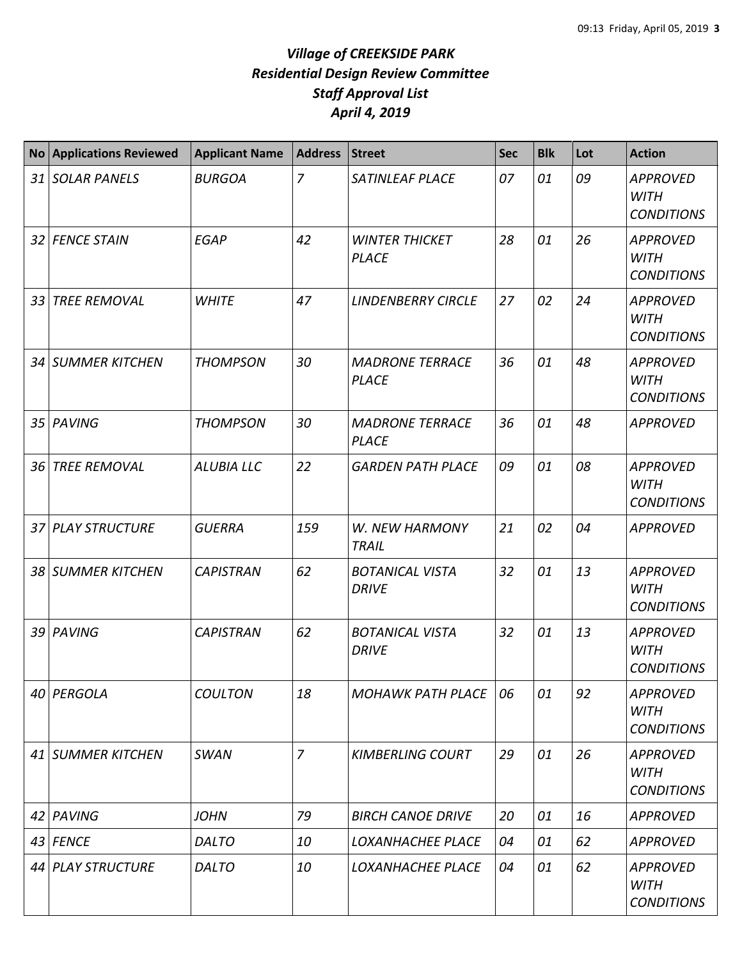| No <sub>1</sub> | <b>Applications Reviewed</b> | <b>Applicant Name</b> | <b>Address</b> | <b>Street</b>                          | <b>Sec</b> | <b>Blk</b> | Lot | <b>Action</b>                                       |
|-----------------|------------------------------|-----------------------|----------------|----------------------------------------|------------|------------|-----|-----------------------------------------------------|
|                 | 31 SOLAR PANELS              | <b>BURGOA</b>         | $\overline{7}$ | <b>SATINLEAF PLACE</b>                 | 07         | 01         | 09  | <b>APPROVED</b><br><b>WITH</b><br><b>CONDITIONS</b> |
|                 | 32 FENCE STAIN               | <b>EGAP</b>           | 42             | <b>WINTER THICKET</b><br><b>PLACE</b>  | 28         | 01         | 26  | <b>APPROVED</b><br><b>WITH</b><br><b>CONDITIONS</b> |
|                 | 33 TREE REMOVAL              | <b>WHITE</b>          | 47             | <b>LINDENBERRY CIRCLE</b>              | 27         | 02         | 24  | <b>APPROVED</b><br><b>WITH</b><br><b>CONDITIONS</b> |
|                 | 34 SUMMER KITCHEN            | <b>THOMPSON</b>       | 30             | <b>MADRONE TERRACE</b><br><b>PLACE</b> | 36         | 01         | 48  | <b>APPROVED</b><br><b>WITH</b><br><b>CONDITIONS</b> |
|                 | 35 PAVING                    | <b>THOMPSON</b>       | 30             | <b>MADRONE TERRACE</b><br><b>PLACE</b> | 36         | 01         | 48  | <b>APPROVED</b>                                     |
| 36 <sup>1</sup> | <b>TREE REMOVAL</b>          | <b>ALUBIA LLC</b>     | 22             | <b>GARDEN PATH PLACE</b>               | 09         | 01         | 08  | <b>APPROVED</b><br><b>WITH</b><br><b>CONDITIONS</b> |
|                 | 37 PLAY STRUCTURE            | <b>GUERRA</b>         | 159            | W. NEW HARMONY<br><b>TRAIL</b>         | 21         | 02         | 04  | <b>APPROVED</b>                                     |
|                 | 38 SUMMER KITCHEN            | <b>CAPISTRAN</b>      | 62             | <b>BOTANICAL VISTA</b><br><b>DRIVE</b> | 32         | 01         | 13  | <b>APPROVED</b><br><b>WITH</b><br><b>CONDITIONS</b> |
|                 | 39 PAVING                    | <b>CAPISTRAN</b>      | 62             | <b>BOTANICAL VISTA</b><br><b>DRIVE</b> | 32         | 01         | 13  | <b>APPROVED</b><br><b>WITH</b><br><b>CONDITIONS</b> |
|                 | 40 PERGOLA                   | <b>COULTON</b>        | 18             | <b>MOHAWK PATH PLACE</b>               | 06         | 01         | 92  | <b>APPROVED</b><br><b>WITH</b><br><b>CONDITIONS</b> |
|                 | 41 SUMMER KITCHEN            | SWAN                  | $\overline{z}$ | <b>KIMBERLING COURT</b>                | 29         | 01         | 26  | <b>APPROVED</b><br><b>WITH</b><br><b>CONDITIONS</b> |
|                 | 42 PAVING                    | <b>JOHN</b>           | 79             | <b>BIRCH CANOE DRIVE</b>               | 20         | 01         | 16  | <b>APPROVED</b>                                     |
|                 | 43 FENCE                     | <b>DALTO</b>          | 10             | LOXANHACHEE PLACE                      | 04         | 01         | 62  | <b>APPROVED</b>                                     |
|                 | 44 PLAY STRUCTURE            | <b>DALTO</b>          | 10             | LOXANHACHEE PLACE                      | 04         | 01         | 62  | <b>APPROVED</b><br><b>WITH</b><br><b>CONDITIONS</b> |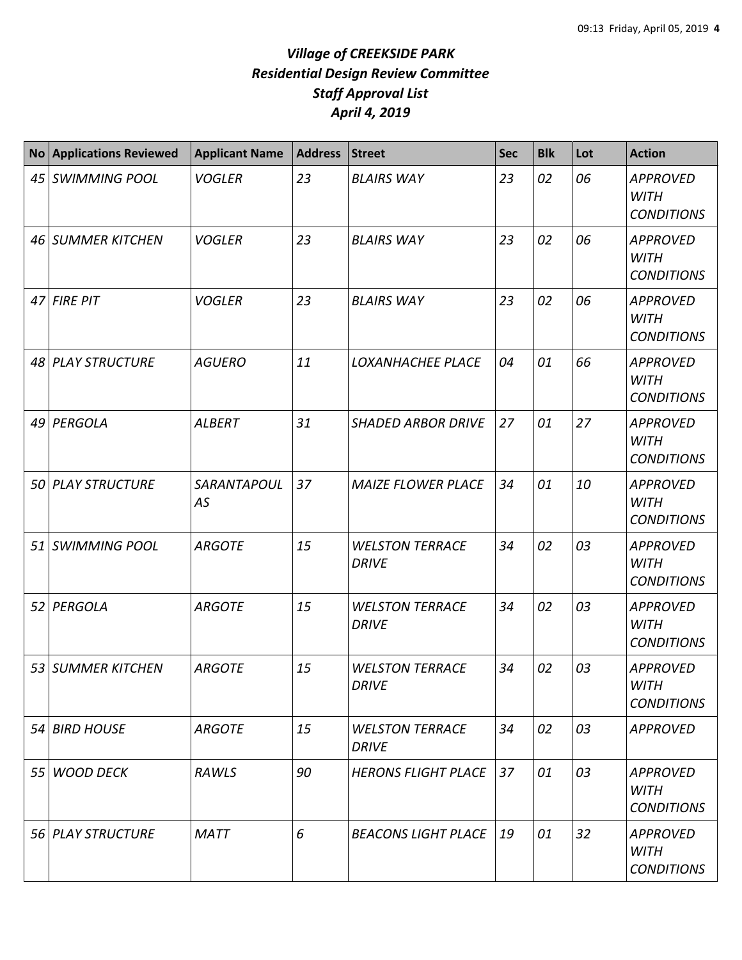| <b>No</b> | <b>Applications Reviewed</b> | <b>Applicant Name</b> | <b>Address</b> | <b>Street</b>                          | <b>Sec</b> | <b>Blk</b> | Lot | <b>Action</b>                                       |
|-----------|------------------------------|-----------------------|----------------|----------------------------------------|------------|------------|-----|-----------------------------------------------------|
|           | 45 SWIMMING POOL             | <b>VOGLER</b>         | 23             | <b>BLAIRS WAY</b>                      | 23         | 02         | 06  | <b>APPROVED</b><br><b>WITH</b><br><b>CONDITIONS</b> |
|           | 46 SUMMER KITCHEN            | <b>VOGLER</b>         | 23             | <b>BLAIRS WAY</b>                      | 23         | 02         | 06  | <b>APPROVED</b><br><b>WITH</b><br><b>CONDITIONS</b> |
|           | 47 FIRE PIT                  | <b>VOGLER</b>         | 23             | <b>BLAIRS WAY</b>                      | 23         | 02         | 06  | <b>APPROVED</b><br><b>WITH</b><br><b>CONDITIONS</b> |
|           | 48 PLAY STRUCTURE            | <b>AGUERO</b>         | 11             | <b>LOXANHACHEE PLACE</b>               | 04         | 01         | 66  | <b>APPROVED</b><br><b>WITH</b><br><b>CONDITIONS</b> |
|           | 49 PERGOLA                   | <b>ALBERT</b>         | 31             | <b>SHADED ARBOR DRIVE</b>              | 27         | 01         | 27  | <b>APPROVED</b><br><b>WITH</b><br><b>CONDITIONS</b> |
|           | 50 PLAY STRUCTURE            | SARANTAPOUL<br>AS     | 37             | <b>MAIZE FLOWER PLACE</b>              | 34         | 01         | 10  | <b>APPROVED</b><br><b>WITH</b><br><b>CONDITIONS</b> |
|           | 51 SWIMMING POOL             | <b>ARGOTE</b>         | 15             | <b>WELSTON TERRACE</b><br><b>DRIVE</b> | 34         | 02         | 03  | <b>APPROVED</b><br><b>WITH</b><br><b>CONDITIONS</b> |
|           | 52 PERGOLA                   | <b>ARGOTE</b>         | 15             | <b>WELSTON TERRACE</b><br><b>DRIVE</b> | 34         | 02         | 03  | <b>APPROVED</b><br><b>WITH</b><br><b>CONDITIONS</b> |
|           | 53 SUMMER KITCHEN            | <b>ARGOTE</b>         | 15             | <b>WELSTON TERRACE</b><br><b>DRIVE</b> | 34         | 02         | 03  | <b>APPROVED</b><br>WITH<br><b>CONDITIONS</b>        |
|           | 54 BIRD HOUSE                | <b>ARGOTE</b>         | 15             | <b>WELSTON TERRACE</b><br><b>DRIVE</b> | 34         | 02         | 03  | <b>APPROVED</b>                                     |
|           | 55 WOOD DECK                 | RAWLS                 | 90             | <b>HERONS FLIGHT PLACE</b>             | 37         | 01         | 03  | <b>APPROVED</b><br><b>WITH</b><br><b>CONDITIONS</b> |
|           | 56 PLAY STRUCTURE            | <b>MATT</b>           | 6              | <b>BEACONS LIGHT PLACE</b>             | 19         | 01         | 32  | <b>APPROVED</b><br><b>WITH</b><br><b>CONDITIONS</b> |